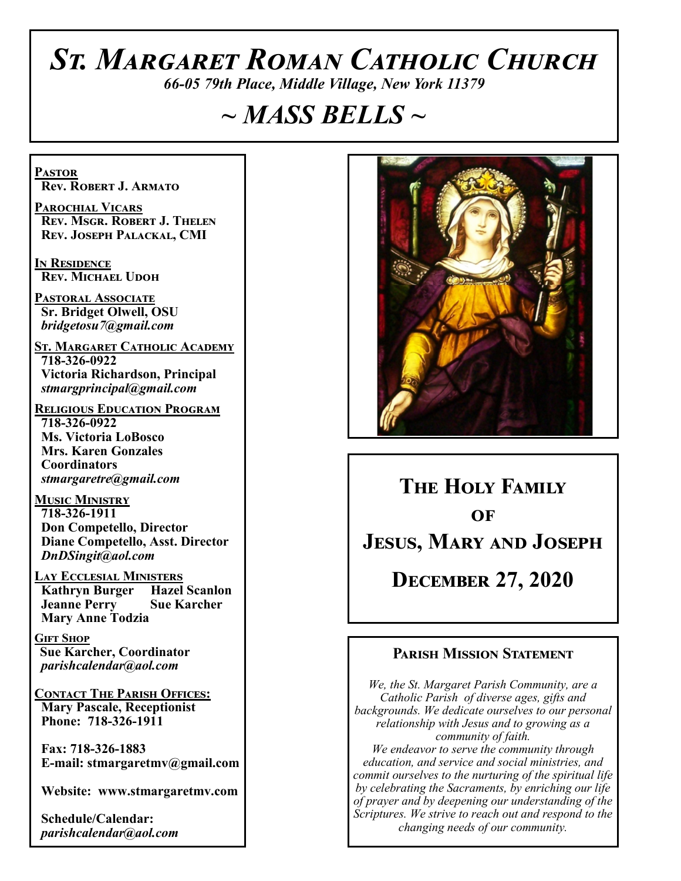# *St. Margaret Roman Catholic Church*

*66-05 79th Place, Middle Village, New York 11379*

# *~ MASS BELLS ~*

**Pastor Rev. Robert J. Armato**

**Parochial Vicars Rev. Msgr. Robert J. Thelen Rev. Joseph Palackal, CMI**

**In Residence Rev. Michael Udoh**

**Pastoral Associate Sr. Bridget Olwell, OSU**  *bridgetosu7@gmail.com*

**St. Margaret Catholic Academy 718-326-0922 Victoria Richardson, Principal**  *stmargprincipal@gmail.com*

**Religious Education Program 718-326-0922 Ms. Victoria LoBosco Mrs. Karen Gonzales Coordinators** *stmargaretre@gmail.com*

**Music Ministry 718-326-1911 Don Competello, Director Diane Competello, Asst. Director** *DnDSingit@aol.com*

**Lay Ecclesial Ministers Kathryn Burger Jeanne Perry Sue Karcher Mary Anne Todzia**

**Gift Shop Sue Karcher, Coordinator** *parishcalendar@aol.com*

**Contact The Parish Offices: Mary Pascale, Receptionist Phone: 718-326-1911** 

 **Fax: 718-326-1883 E-mail: stmargaretmv@gmail.com**

 **Website: www.stmargaretmv.com**

 **Schedule/Calendar:** *parishcalendar@aol.com* 



**The Holy Family**   $\overline{\text{OF}}$ **Jesus, Mary and Joseph December 27, 2020** 

### **Parish Mission Statement**

*We, the St. Margaret Parish Community, are a Catholic Parish of diverse ages, gifts and backgrounds. We dedicate ourselves to our personal relationship with Jesus and to growing as a community of faith. We endeavor to serve the community through education, and service and social ministries, and commit ourselves to the nurturing of the spiritual life by celebrating the Sacraments, by enriching our life of prayer and by deepening our understanding of the Scriptures. We strive to reach out and respond to the changing needs of our community.*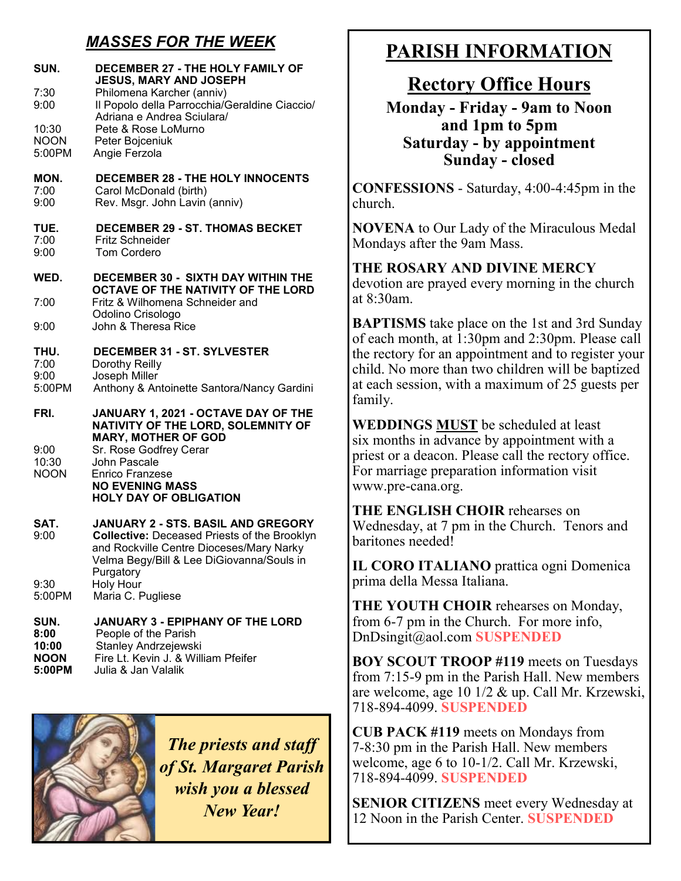# *MASSES FOR THE WEEK*

| SUN.<br>7:30<br>9:00<br>10:30<br><b>NOON</b><br>5:00PM | DECEMBER 27 - THE HOLY FAMILY OF<br><b>JESUS, MARY AND JOSEPH</b><br>Philomena Karcher (anniv)<br>Il Popolo della Parrocchia/Geraldine Ciaccio/<br>Adriana e Andrea Sciulara/<br>Pete & Rose LoMurno<br>Peter Bojceniuk<br>Angie Ferzola |
|--------------------------------------------------------|------------------------------------------------------------------------------------------------------------------------------------------------------------------------------------------------------------------------------------------|
| MON.<br>7:00<br>9:00                                   | <b>DECEMBER 28 - THE HOLY INNOCENTS</b><br>Carol McDonald (birth)<br>Rev. Msgr. John Lavin (anniv)                                                                                                                                       |
| TUE.<br>7:00<br>9:00                                   | <b>DECEMBER 29 - ST. THOMAS BECKET</b><br><b>Fritz Schneider</b><br><b>Tom Cordero</b>                                                                                                                                                   |
| WED.                                                   | <b>DECEMBER 30 - SIXTH DAY WITHIN THE</b><br>OCTAVE OF THE NATIVITY OF THE LORD                                                                                                                                                          |
| 7:00                                                   | Fritz & Wilhomena Schneider and                                                                                                                                                                                                          |
| 9:00                                                   | Odolino Crisologo<br>John & Theresa Rice                                                                                                                                                                                                 |
| THU.<br>7:00<br>9:00<br>5:00PM                         | <b>DECEMBER 31 - ST. SYLVESTER</b><br>Dorothy Reilly<br>Joseph Miller<br>Anthony & Antoinette Santora/Nancy Gardini                                                                                                                      |
| FRI.<br>9:00<br>10:30<br><b>NOON</b>                   | JANUARY 1, 2021 - OCTAVE DAY OF THE<br>NATIVITY OF THE LORD, SOLEMNITY OF<br><b>MARY, MOTHER OF GOD</b><br>Sr. Rose Godfrey Cerar<br>John Pascale<br><b>Enrico Franzese</b>                                                              |
|                                                        | <b>NO EVENING MASS</b><br><b>HOLY DAY OF OBLIGATION</b>                                                                                                                                                                                  |
| SAT.<br>9:00<br>9:30<br>5:00PM                         | JANUARY 2 - STS. BASIL AND GREGORY<br><b>Collective: Deceased Priests of the Brooklyn</b><br>and Rockville Centre Dioceses/Mary Narky<br>Velma Begy/Bill & Lee DiGiovanna/Souls in<br>Purgatory<br>Holy Hour<br>Maria C. Pugliese        |
| SUN.<br>8:00<br>10:00<br><b>NOON</b><br>5:00PM         | <b>JANUARY 3 - EPIPHANY OF THE LORD</b><br>People of the Parish<br>Stanley Andrzejewski<br>Fire Lt. Kevin J. & William Pfeifer<br>Julia & Jan Valalik                                                                                    |

*The priests and staff of St. Margaret Parish wish you a blessed New Year!*

# **PARISH INFORMATION**

# **Rectory Office Hours**

**Monday - Friday - 9am to Noon and 1pm to 5pm Saturday - by appointment Sunday - closed**

**CONFESSIONS** - Saturday, 4:00-4:45pm in the church.

**NOVENA** to Our Lady of the Miraculous Medal Mondays after the 9am Mass.

**THE ROSARY AND DIVINE MERCY** devotion are prayed every morning in the church at 8:30am.

**BAPTISMS** take place on the 1st and 3rd Sunday of each month, at 1:30pm and 2:30pm. Please call the rectory for an appointment and to register your child. No more than two children will be baptized at each session, with a maximum of 25 guests per family.

**WEDDINGS MUST** be scheduled at least six months in advance by appointment with a priest or a deacon. Please call the rectory office. For marriage preparation information visit www.pre-cana.org.

**THE ENGLISH CHOIR** rehearses on Wednesday, at 7 pm in the Church. Tenors and baritones needed!

**IL CORO ITALIANO** prattica ogni Domenica prima della Messa Italiana.

**THE YOUTH CHOIR** rehearses on Monday, from 6-7 pm in the Church. For more info, DnDsingit@aol.com **SUSPENDED**

**BOY SCOUT TROOP #119** meets on Tuesdays from 7:15-9 pm in the Parish Hall. New members are welcome, age 10 1/2 & up. Call Mr. Krzewski, 718-894-4099. **SUSPENDED**

**CUB PACK #119** meets on Mondays from 7-8:30 pm in the Parish Hall. New members welcome, age 6 to 10-1/2. Call Mr. Krzewski, 718-894-4099. **SUSPENDED**

**SENIOR CITIZENS** meet every Wednesday at 12 Noon in the Parish Center. **SUSPENDED**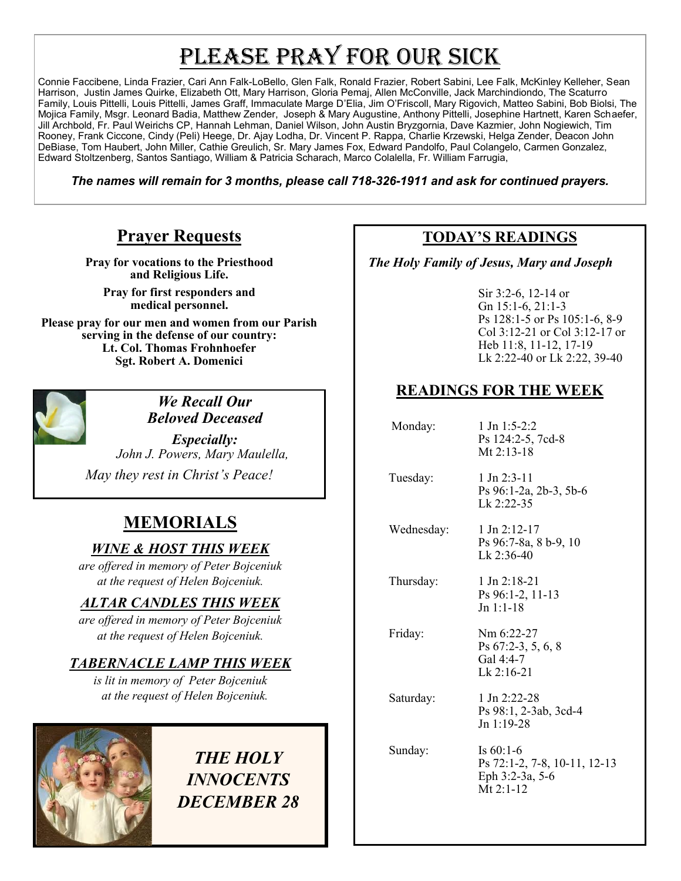# PLEASE PRAY FOR OUR SICK

Connie Faccibene, Linda Frazier, Cari Ann Falk-LoBello, Glen Falk, Ronald Frazier, Robert Sabini, Lee Falk, McKinley Kelleher, Sean Harrison, Justin James Quirke, Elizabeth Ott, Mary Harrison, Gloria Pemaj, Allen McConville, Jack Marchindiondo, The Scaturro Family, Louis Pittelli, Louis Pittelli, James Graff, Immaculate Marge D'Elia, Jim O'Friscoll, Mary Rigovich, Matteo Sabini, Bob Biolsi, The Mojica Family, Msgr. Leonard Badia, Matthew Zender, Joseph & Mary Augustine, Anthony Pittelli, Josephine Hartnett, Karen Schaefer, Jill Archbold, Fr. Paul Weirichs CP, Hannah Lehman, Daniel Wilson, John Austin Bryzgornia, Dave Kazmier, John Nogiewich, Tim Rooney, Frank Ciccone, Cindy (Peli) Heege, Dr. Ajay Lodha, Dr. Vincent P. Rappa, Charlie Krzewski, Helga Zender, Deacon John DeBiase, Tom Haubert, John Miller, Cathie Greulich, Sr. Mary James Fox, Edward Pandolfo, Paul Colangelo, Carmen Gonzalez, Edward Stoltzenberg, Santos Santiago, William & Patricia Scharach, Marco Colalella, Fr. William Farrugia,

*The names will remain for 3 months, please call 718-326-1911 and ask for continued prayers.*

## **Prayer Requests**

**Pray for vocations to the Priesthood and Religious Life.** 

**Pray for first responders and medical personnel.**

**Please pray for our men and women from our Parish serving in the defense of our country: Lt. Col. Thomas Frohnhoefer Sgt. Robert A. Domenici** 



*We Recall Our Beloved Deceased*

*Especially: John J. Powers, Mary Maulella, May they rest in Christ's Peace!*

# **MEMORIALS**

### *WINE & HOST THIS WEEK*

*are offered in memory of Peter Bojceniuk at the request of Helen Bojceniuk.* 

#### *ALTAR CANDLES THIS WEEK*

*are offered in memory of Peter Bojceniuk at the request of Helen Bojceniuk.* 

## *TABERNACLE LAMP THIS WEEK*

*is lit in memory of Peter Bojceniuk at the request of Helen Bojceniuk.* 



# *THE HOLY INNOCENTS DECEMBER 28*

# **TODAY'S READINGS**

 *The Holy Family of Jesus, Mary and Joseph* 

Sir 3:2-6, 12-14 or Gn 15:1-6, 21:1-3 Ps 128:1-5 or Ps 105:1-6, 8-9 Col 3:12-21 or Col 3:12-17 or Heb 11:8, 11-12, 17-19 Lk 2:22-40 or Lk 2:22, 39-40

## **READINGS FOR THE WEEK**

Monday: 1 Jn 1:5-2:2 Ps 124:2-5, 7cd-8 Mt 2:13-18 Tuesday: 1 Jn 2:3-11 Ps 96:1-2a, 2b-3, 5b-6 Lk 2:22-35 Wednesday: 1 Jn 2:12-17 Ps 96:7-8a, 8 b-9, 10 Lk 2:36-40 Thursday: 1 Jn 2:18-21 Ps 96:1-2, 11-13 Jn 1:1-18 Friday: Nm 6:22-27 Ps 67:2-3, 5, 6, 8 Gal 4:4-7 Lk 2:16-21 Saturday: 1 Jn 2:22-28 Ps 98:1, 2-3ab, 3cd-4 Jn 1:19-28 Sunday: Is 60:1-6 Ps 72:1-2, 7-8, 10-11, 12-13 Eph 3:2-3a, 5-6 Mt 2:1-12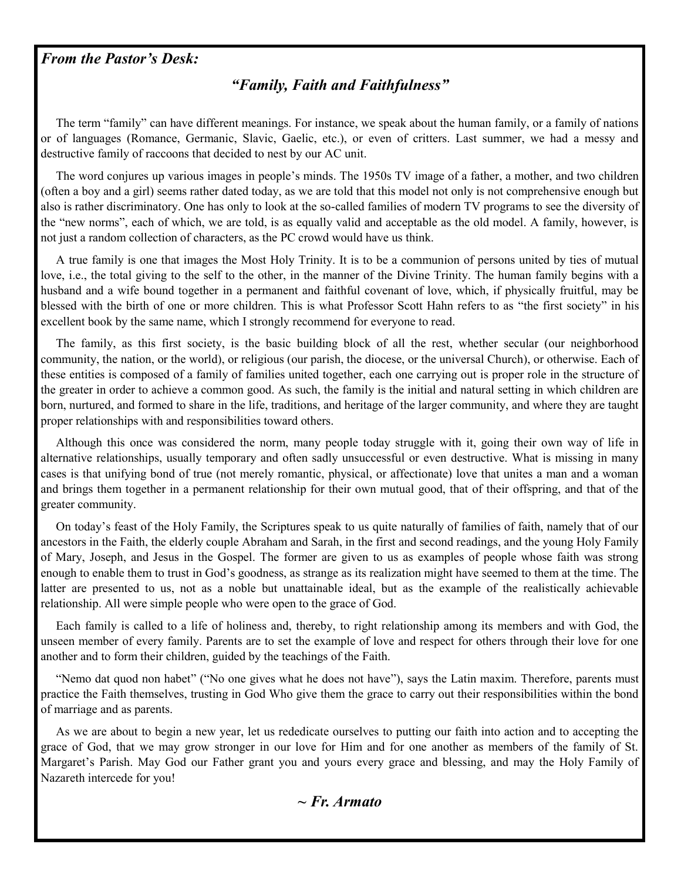#### *From the Pastor's Desk:*

## *"Family, Faith and Faithfulness"*

 The term "family" can have different meanings. For instance, we speak about the human family, or a family of nations or of languages (Romance, Germanic, Slavic, Gaelic, etc.), or even of critters. Last summer, we had a messy and destructive family of raccoons that decided to nest by our AC unit.

 The word conjures up various images in people's minds. The 1950s TV image of a father, a mother, and two children (often a boy and a girl) seems rather dated today, as we are told that this model not only is not comprehensive enough but also is rather discriminatory. One has only to look at the so-called families of modern TV programs to see the diversity of the "new norms", each of which, we are told, is as equally valid and acceptable as the old model. A family, however, is not just a random collection of characters, as the PC crowd would have us think.

 A true family is one that images the Most Holy Trinity. It is to be a communion of persons united by ties of mutual love, i.e., the total giving to the self to the other, in the manner of the Divine Trinity. The human family begins with a husband and a wife bound together in a permanent and faithful covenant of love, which, if physically fruitful, may be blessed with the birth of one or more children. This is what Professor Scott Hahn refers to as "the first society" in his excellent book by the same name, which I strongly recommend for everyone to read.

 The family, as this first society, is the basic building block of all the rest, whether secular (our neighborhood community, the nation, or the world), or religious (our parish, the diocese, or the universal Church), or otherwise. Each of these entities is composed of a family of families united together, each one carrying out is proper role in the structure of the greater in order to achieve a common good. As such, the family is the initial and natural setting in which children are born, nurtured, and formed to share in the life, traditions, and heritage of the larger community, and where they are taught proper relationships with and responsibilities toward others.

 Although this once was considered the norm, many people today struggle with it, going their own way of life in alternative relationships, usually temporary and often sadly unsuccessful or even destructive. What is missing in many cases is that unifying bond of true (not merely romantic, physical, or affectionate) love that unites a man and a woman and brings them together in a permanent relationship for their own mutual good, that of their offspring, and that of the greater community.

 On today's feast of the Holy Family, the Scriptures speak to us quite naturally of families of faith, namely that of our ancestors in the Faith, the elderly couple Abraham and Sarah, in the first and second readings, and the young Holy Family of Mary, Joseph, and Jesus in the Gospel. The former are given to us as examples of people whose faith was strong enough to enable them to trust in God's goodness, as strange as its realization might have seemed to them at the time. The latter are presented to us, not as a noble but unattainable ideal, but as the example of the realistically achievable relationship. All were simple people who were open to the grace of God.

 Each family is called to a life of holiness and, thereby, to right relationship among its members and with God, the unseen member of every family. Parents are to set the example of love and respect for others through their love for one another and to form their children, guided by the teachings of the Faith.

 "Nemo dat quod non habet" ("No one gives what he does not have"), says the Latin maxim. Therefore, parents must practice the Faith themselves, trusting in God Who give them the grace to carry out their responsibilities within the bond of marriage and as parents.

 As we are about to begin a new year, let us rededicate ourselves to putting our faith into action and to accepting the grace of God, that we may grow stronger in our love for Him and for one another as members of the family of St. Margaret's Parish. May God our Father grant you and yours every grace and blessing, and may the Holy Family of Nazareth intercede for you!

*~ Fr. Armato*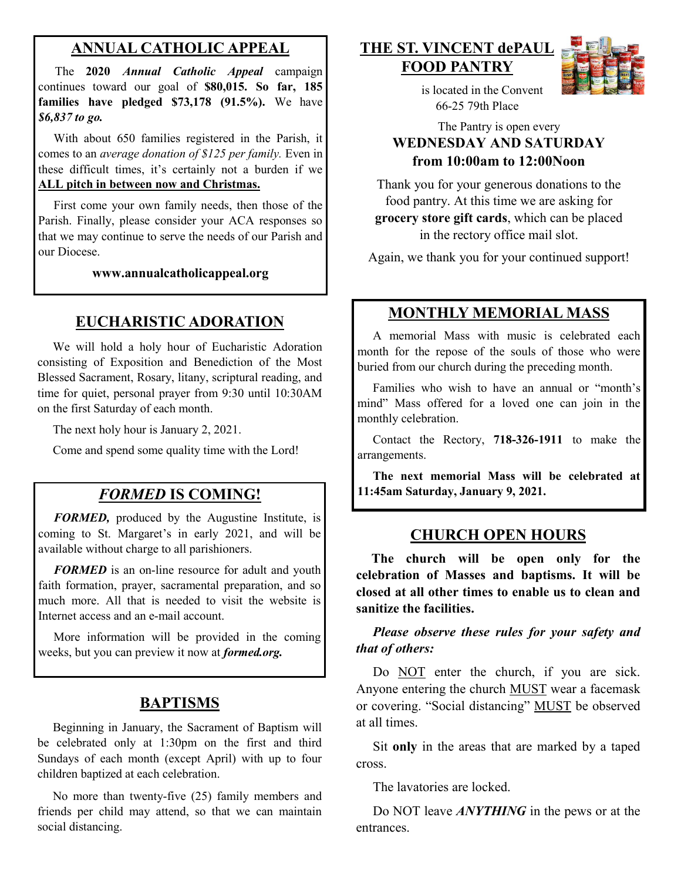## **ANNUAL CATHOLIC APPEAL**

 The **2020** *Annual Catholic Appeal* campaign continues toward our goal of **\$80,015. So far, 185 families have pledged \$73,178 (91.5%).** We have *\$6,837 to go.*

With about 650 families registered in the Parish, it comes to an *average donation of \$125 per family.* Even in these difficult times, it's certainly not a burden if we **ALL pitch in between now and Christmas.**

 First come your own family needs, then those of the Parish. Finally, please consider your ACA responses so that we may continue to serve the needs of our Parish and our Diocese. Ì

**www.annualcatholicappeal.org** 

#### **EUCHARISTIC ADORATION**

 We will hold a holy hour of Eucharistic Adoration consisting of Exposition and Benediction of the Most Blessed Sacrament, Rosary, litany, scriptural reading, and time for quiet, personal prayer from 9:30 until 10:30AM on the first Saturday of each month.

The next holy hour is January 2, 2021.

Come and spend some quality time with the Lord!

### *FORMED* **IS COMING!**

 *FORMED,* produced by the Augustine Institute, is coming to St. Margaret's in early 2021, and will be available without charge to all parishioners.

*FORMED* is an on-line resource for adult and youth faith formation, prayer, sacramental preparation, and so much more. All that is needed to visit the website is Internet access and an e-mail account.

 More information will be provided in the coming weeks, but you can preview it now at *formed.org.*

#### **BAPTISMS**

 Beginning in January, the Sacrament of Baptism will be celebrated only at 1:30pm on the first and third Sundays of each month (except April) with up to four children baptized at each celebration.

 No more than twenty-five (25) family members and friends per child may attend, so that we can maintain social distancing.

#### **THE ST. VINCENT dePAUL FOOD PANTRY**



 is located in the Convent 66-25 79th Place

The Pantry is open every **WEDNESDAY AND SATURDAY from 10:00am to 12:00Noon**

Thank you for your generous donations to the food pantry. At this time we are asking for **grocery store gift cards**, which can be placed in the rectory office mail slot.

Again, we thank you for your continued support!

#### **MONTHLY MEMORIAL MASS**

 A memorial Mass with music is celebrated each month for the repose of the souls of those who were buried from our church during the preceding month.

 Families who wish to have an annual or "month's mind" Mass offered for a loved one can join in the monthly celebration.

 Contact the Rectory, **718-326-1911** to make the arrangements.

 **The next memorial Mass will be celebrated at 11:45am Saturday, January 9, 2021.** 

#### **CHURCH OPEN HOURS**

 **The church will be open only for the celebration of Masses and baptisms. It will be closed at all other times to enable us to clean and sanitize the facilities.**

#### *Please observe these rules for your safety and that of others:*

Do NOT enter the church, if you are sick. Anyone entering the church MUST wear a facemask or covering. "Social distancing" MUST be observed at all times.

 Sit **only** in the areas that are marked by a taped cross.

The lavatories are locked.

 Do NOT leave *ANYTHING* in the pews or at the entrances.